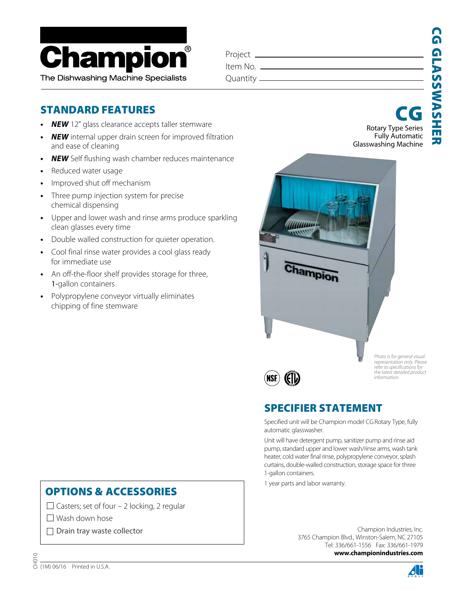

| Project _             |  |
|-----------------------|--|
| Item No. <sub>-</sub> |  |
| Quantity —            |  |
|                       |  |

# STANDARD FEATURES

- *• NEW* 12" glass clearance accepts taller stemware
- *• NEW* internal upper drain screen for improved filtration and ease of cleaning
- *• NEW* Self flushing wash chamber reduces maintenance
- *•* Reduced water usage
- *•* Improved shut off mechanism
- *•* Three pump injection system for precise chemical dispensing
- *•* Upper and lower wash and rinse arms produce sparkling clean glasses every time
- *•* Double walled construction for quieter operation.
- *•* Cool final rinse water provides a cool glass ready for immediate use
- *•* An off-the-floor shelf provides storage for three, 1-gallon containers
- *•* Polypropylene conveyor virtually eliminates chipping of fine stemware

#### Rotary Type Series Fully Automatic CG



*Photo is for general visual representation only. Please refer to specifications for the latest detailed product information.*

# SPECIFIER STATEMENT

Specified unit will be Champion model CG Rotary Type, fully automatic glasswasher.

Unit will have detergent pump, sanitizer pump and rinse aid pump, standard upper and lower wash/rinse arms, wash tank heater, cold water final rinse, polypropylene conveyor, splash curtains, double-walled construction, storage space for three 1-gallon containers.

1 year parts and labor warranty.

Champion Industries, Inc. 3765 Champion Blvd., Winston-Salem, NC 27105 Tel: 336/661-1556 Fax: 336/661-1979  **www.championindustries.com**

## OPTIONS & ACCESSORIES

 $\Box$  Casters; set of four – 2 locking, 2 regular

 $\Box$  Wash down hose

 $\Box$  Drain tray waste collector